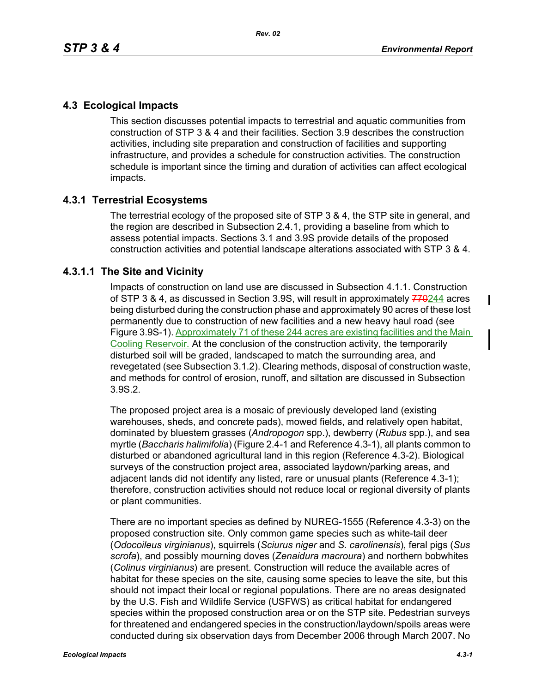# **4.3 Ecological Impacts**

This section discusses potential impacts to terrestrial and aquatic communities from construction of STP 3 & 4 and their facilities. Section 3.9 describes the construction activities, including site preparation and construction of facilities and supporting infrastructure, and provides a schedule for construction activities. The construction schedule is important since the timing and duration of activities can affect ecological impacts.

## **4.3.1 Terrestrial Ecosystems**

The terrestrial ecology of the proposed site of STP 3 & 4, the STP site in general, and the region are described in Subsection 2.4.1, providing a baseline from which to assess potential impacts. Sections 3.1 and 3.9S provide details of the proposed construction activities and potential landscape alterations associated with STP 3 & 4.

## **4.3.1.1 The Site and Vicinity**

Impacts of construction on land use are discussed in Subsection 4.1.1. Construction of STP 3 & 4, as discussed in Section 3.9S, will result in approximately  $770244$  acres being disturbed during the construction phase and approximately 90 acres of these lost permanently due to construction of new facilities and a new heavy haul road (see Figure 3.9S-1). Approximately 71 of these 244 acres are existing facilities and the Main Cooling Reservoir. At the conclusion of the construction activity, the temporarily disturbed soil will be graded, landscaped to match the surrounding area, and revegetated (see Subsection 3.1.2). Clearing methods, disposal of construction waste, and methods for control of erosion, runoff, and siltation are discussed in Subsection 3.9S.2.

The proposed project area is a mosaic of previously developed land (existing warehouses, sheds, and concrete pads), mowed fields, and relatively open habitat, dominated by bluestem grasses (*Andropogon* spp.), dewberry (*Rubus* spp.), and sea myrtle (*Baccharis halimifolia*) (Figure 2.4-1 and Reference 4.3-1), all plants common to disturbed or abandoned agricultural land in this region (Reference 4.3-2). Biological surveys of the construction project area, associated laydown/parking areas, and adjacent lands did not identify any listed, rare or unusual plants (Reference 4.3-1); therefore, construction activities should not reduce local or regional diversity of plants or plant communities.

There are no important species as defined by NUREG-1555 (Reference 4.3-3) on the proposed construction site. Only common game species such as white-tail deer (*Odocoileus virginianus*), squirrels (*Sciurus niger* and *S. carolinensis*), feral pigs (*Sus scrofa*), and possibly mourning doves (*Zenaidura macroura*) and northern bobwhites (*Colinus virginianus*) are present. Construction will reduce the available acres of habitat for these species on the site, causing some species to leave the site, but this should not impact their local or regional populations. There are no areas designated by the U.S. Fish and Wildlife Service (USFWS) as critical habitat for endangered species within the proposed construction area or on the STP site. Pedestrian surveys for threatened and endangered species in the construction/laydown/spoils areas were conducted during six observation days from December 2006 through March 2007. No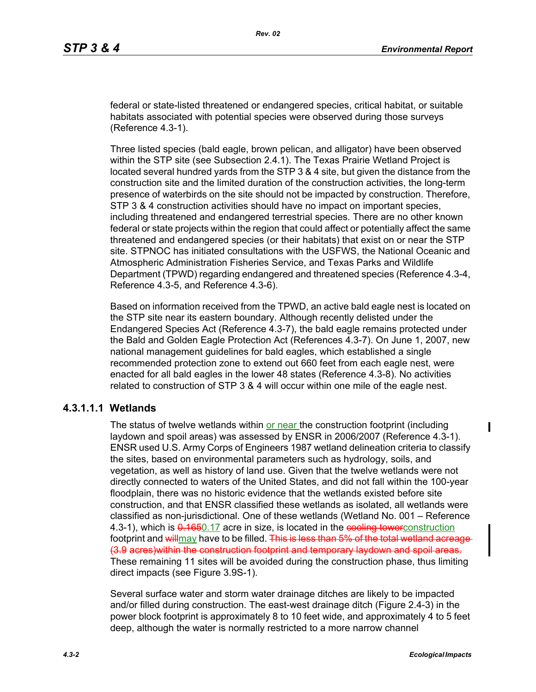federal or state-listed threatened or endangered species, critical habitat, or suitable habitats associated with potential species were observed during those surveys (Reference 4.3-1).

Three listed species (bald eagle, brown pelican, and alligator) have been observed within the STP site (see Subsection 2.4.1). The Texas Prairie Wetland Project is located several hundred yards from the STP 3 & 4 site, but given the distance from the construction site and the limited duration of the construction activities, the long-term presence of waterbirds on the site should not be impacted by construction. Therefore, STP 3 & 4 construction activities should have no impact on important species, including threatened and endangered terrestrial species. There are no other known federal or state projects within the region that could affect or potentially affect the same threatened and endangered species (or their habitats) that exist on or near the STP site. STPNOC has initiated consultations with the USFWS, the National Oceanic and Atmospheric Administration Fisheries Service, and Texas Parks and Wildlife Department (TPWD) regarding endangered and threatened species (Reference 4.3-4, Reference 4.3-5, and Reference 4.3-6).

Based on information received from the TPWD, an active bald eagle nest is located on the STP site near its eastern boundary. Although recently delisted under the Endangered Species Act (Reference 4.3-7), the bald eagle remains protected under the Bald and Golden Eagle Protection Act (References 4.3-7). On June 1, 2007, new national management guidelines for bald eagles, which established a single recommended protection zone to extend out 660 feet from each eagle nest, were enacted for all bald eagles in the lower 48 states (Reference 4.3-8). No activities related to construction of STP 3 & 4 will occur within one mile of the eagle nest.

#### **4.3.1.1.1 Wetlands**

The status of twelve wetlands within or near the construction footprint (including laydown and spoil areas) was assessed by ENSR in 2006/2007 (Reference 4.3-1). ENSR used U.S. Army Corps of Engineers 1987 wetland delineation criteria to classify the sites, based on environmental parameters such as hydrology, soils, and vegetation, as well as history of land use. Given that the twelve wetlands were not directly connected to waters of the United States, and did not fall within the 100-year floodplain, there was no historic evidence that the wetlands existed before site construction, and that ENSR classified these wetlands as isolated, all wetlands were classified as non-jurisdictional. One of these wetlands (Wetland No. 001 – Reference 4.3-1), which is  $\frac{0.1650.17}{0.17}$  acre in size, is located in the cooling towerconstruction footprint and willmay have to be filled. This is less than 5% of the total wetland acreage (3.9 acres)within the construction footprint and temporary laydown and spoil areas. These remaining 11 sites will be avoided during the construction phase, thus limiting direct impacts (see Figure 3.9S-1).

Several surface water and storm water drainage ditches are likely to be impacted and/or filled during construction. The east-west drainage ditch (Figure 2.4-3) in the power block footprint is approximately 8 to 10 feet wide, and approximately 4 to 5 feet deep, although the water is normally restricted to a more narrow channel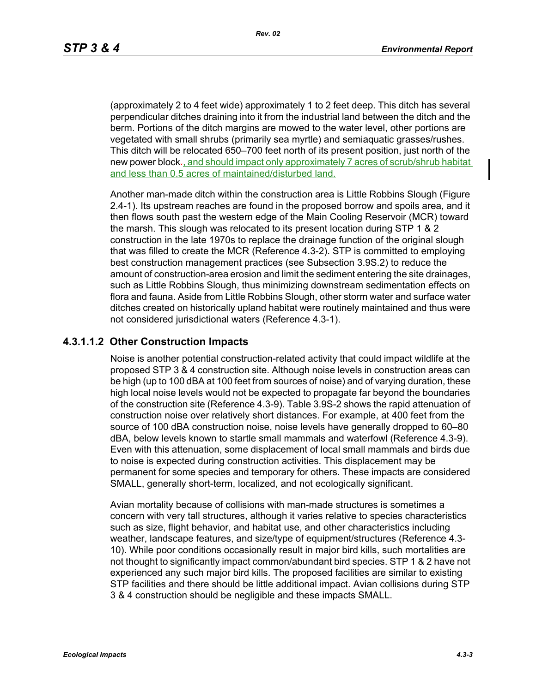(approximately 2 to 4 feet wide) approximately 1 to 2 feet deep. This ditch has several perpendicular ditches draining into it from the industrial land between the ditch and the berm. Portions of the ditch margins are mowed to the water level, other portions are vegetated with small shrubs (primarily sea myrtle) and semiaquatic grasses/rushes. This ditch will be relocated 650–700 feet north of its present position, just north of the new power block-, and should impact only approximately 7 acres of scrub/shrub habitat and less than 0.5 acres of maintained/disturbed land.

Another man-made ditch within the construction area is Little Robbins Slough (Figure 2.4-1). Its upstream reaches are found in the proposed borrow and spoils area, and it then flows south past the western edge of the Main Cooling Reservoir (MCR) toward the marsh. This slough was relocated to its present location during STP 1 & 2 construction in the late 1970s to replace the drainage function of the original slough that was filled to create the MCR (Reference 4.3-2). STP is committed to employing best construction management practices (see Subsection 3.9S.2) to reduce the amount of construction-area erosion and limit the sediment entering the site drainages, such as Little Robbins Slough, thus minimizing downstream sedimentation effects on flora and fauna. Aside from Little Robbins Slough, other storm water and surface water ditches created on historically upland habitat were routinely maintained and thus were not considered jurisdictional waters (Reference 4.3-1).

#### **4.3.1.1.2 Other Construction Impacts**

Noise is another potential construction-related activity that could impact wildlife at the proposed STP 3 & 4 construction site. Although noise levels in construction areas can be high (up to 100 dBA at 100 feet from sources of noise) and of varying duration, these high local noise levels would not be expected to propagate far beyond the boundaries of the construction site (Reference 4.3-9). Table 3.9S-2 shows the rapid attenuation of construction noise over relatively short distances. For example, at 400 feet from the source of 100 dBA construction noise, noise levels have generally dropped to 60–80 dBA, below levels known to startle small mammals and waterfowl (Reference 4.3-9). Even with this attenuation, some displacement of local small mammals and birds due to noise is expected during construction activities. This displacement may be permanent for some species and temporary for others. These impacts are considered SMALL, generally short-term, localized, and not ecologically significant.

Avian mortality because of collisions with man-made structures is sometimes a concern with very tall structures, although it varies relative to species characteristics such as size, flight behavior, and habitat use, and other characteristics including weather, landscape features, and size/type of equipment/structures (Reference 4.3- 10). While poor conditions occasionally result in major bird kills, such mortalities are not thought to significantly impact common/abundant bird species. STP 1 & 2 have not experienced any such major bird kills. The proposed facilities are similar to existing STP facilities and there should be little additional impact. Avian collisions during STP 3 & 4 construction should be negligible and these impacts SMALL.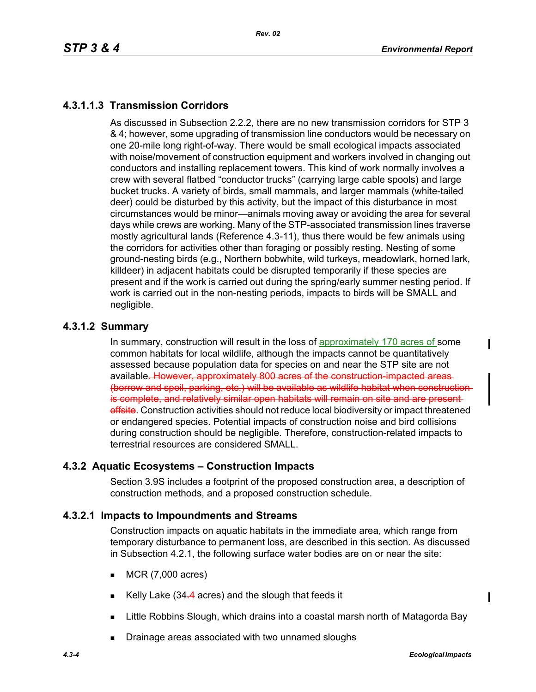# **4.3.1.1.3 Transmission Corridors**

As discussed in Subsection 2.2.2, there are no new transmission corridors for STP 3 & 4; however, some upgrading of transmission line conductors would be necessary on one 20-mile long right-of-way. There would be small ecological impacts associated with noise/movement of construction equipment and workers involved in changing out conductors and installing replacement towers. This kind of work normally involves a crew with several flatbed "conductor trucks" (carrying large cable spools) and large bucket trucks. A variety of birds, small mammals, and larger mammals (white-tailed deer) could be disturbed by this activity, but the impact of this disturbance in most circumstances would be minor—animals moving away or avoiding the area for several days while crews are working. Many of the STP-associated transmission lines traverse mostly agricultural lands (Reference 4.3-11), thus there would be few animals using the corridors for activities other than foraging or possibly resting. Nesting of some ground-nesting birds (e.g., Northern bobwhite, wild turkeys, meadowlark, horned lark, killdeer) in adjacent habitats could be disrupted temporarily if these species are present and if the work is carried out during the spring/early summer nesting period. If work is carried out in the non-nesting periods, impacts to birds will be SMALL and negligible.

## **4.3.1.2 Summary**

In summary, construction will result in the loss of approximately 170 acres of some common habitats for local wildlife, although the impacts cannot be quantitatively assessed because population data for species on and near the STP site are not available. However, approximately 800 acres of the construction impacted areas (borrow and spoil, parking, etc.) will be available as wildlife habitat when construction is complete, and relatively similar open habitats will remain on site and are present offsite. Construction activities should not reduce local biodiversity or impact threatened or endangered species. Potential impacts of construction noise and bird collisions during construction should be negligible. Therefore, construction-related impacts to terrestrial resources are considered SMALL.

## **4.3.2 Aquatic Ecosystems – Construction Impacts**

Section 3.9S includes a footprint of the proposed construction area, a description of construction methods, and a proposed construction schedule.

## **4.3.2.1 Impacts to Impoundments and Streams**

Construction impacts on aquatic habitats in the immediate area, which range from temporary disturbance to permanent loss, are described in this section. As discussed in Subsection 4.2.1, the following surface water bodies are on or near the site:

- $MCR (7,000 acres)$
- Kelly Lake (34.4 acres) and the slough that feeds it
- **EXALLITE** Robbins Slough, which drains into a coastal marsh north of Matagorda Bay
- Drainage areas associated with two unnamed sloughs

 $\mathbf I$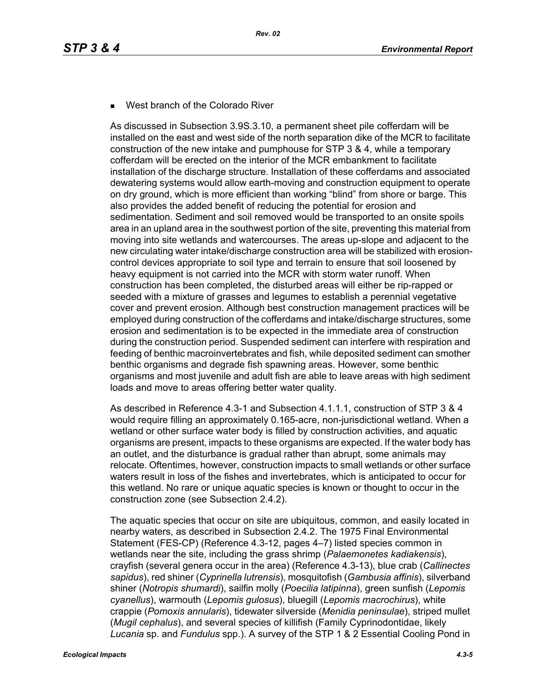West branch of the Colorado River

As discussed in Subsection 3.9S.3.10, a permanent sheet pile cofferdam will be installed on the east and west side of the north separation dike of the MCR to facilitate construction of the new intake and pumphouse for STP 3 & 4, while a temporary cofferdam will be erected on the interior of the MCR embankment to facilitate installation of the discharge structure. Installation of these cofferdams and associated dewatering systems would allow earth-moving and construction equipment to operate on dry ground, which is more efficient than working "blind" from shore or barge. This also provides the added benefit of reducing the potential for erosion and sedimentation. Sediment and soil removed would be transported to an onsite spoils area in an upland area in the southwest portion of the site, preventing this material from moving into site wetlands and watercourses. The areas up-slope and adjacent to the new circulating water intake/discharge construction area will be stabilized with erosioncontrol devices appropriate to soil type and terrain to ensure that soil loosened by heavy equipment is not carried into the MCR with storm water runoff. When construction has been completed, the disturbed areas will either be rip-rapped or seeded with a mixture of grasses and legumes to establish a perennial vegetative cover and prevent erosion. Although best construction management practices will be employed during construction of the cofferdams and intake/discharge structures, some erosion and sedimentation is to be expected in the immediate area of construction during the construction period. Suspended sediment can interfere with respiration and feeding of benthic macroinvertebrates and fish, while deposited sediment can smother benthic organisms and degrade fish spawning areas. However, some benthic organisms and most juvenile and adult fish are able to leave areas with high sediment loads and move to areas offering better water quality.

As described in Reference 4.3-1 and Subsection 4.1.1.1, construction of STP 3 & 4 would require filling an approximately 0.165-acre, non-jurisdictional wetland. When a wetland or other surface water body is filled by construction activities, and aquatic organisms are present, impacts to these organisms are expected. If the water body has an outlet, and the disturbance is gradual rather than abrupt, some animals may relocate. Oftentimes, however, construction impacts to small wetlands or other surface waters result in loss of the fishes and invertebrates, which is anticipated to occur for this wetland. No rare or unique aquatic species is known or thought to occur in the construction zone (see Subsection 2.4.2).

The aquatic species that occur on site are ubiquitous, common, and easily located in nearby waters, as described in Subsection 2.4.2. The 1975 Final Environmental Statement (FES-CP) (Reference 4.3-12, pages 4–7) listed species common in wetlands near the site, including the grass shrimp (*Palaemonetes kadiakensis*), crayfish (several genera occur in the area) (Reference 4.3-13), blue crab (*Callinectes sapidus*), red shiner (*Cyprinella lutrensis*), mosquitofish (*Gambusia affinis*), silverband shiner (*Notropis shumardi*), sailfin molly (*Poecilia latipinna*), green sunfish (*Lepomis cyanellus*), warmouth (*Lepomis gulosus*), bluegill (*Lepomis macrochirus*), white crappie (*Pomoxis annularis*), tidewater silverside (*Menidia peninsulae*), striped mullet (*Mugil cephalus*), and several species of killifish (Family Cyprinodontidae, likely *Lucania* sp. and *Fundulus* spp.). A survey of the STP 1 & 2 Essential Cooling Pond in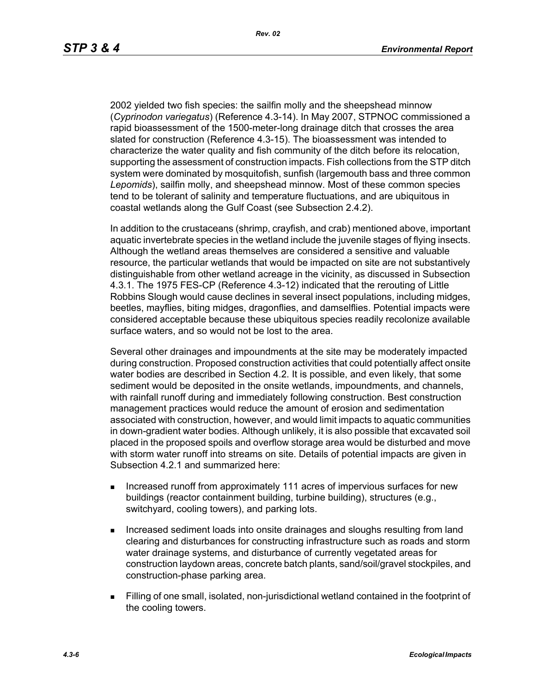2002 yielded two fish species: the sailfin molly and the sheepshead minnow (*Cyprinodon variegatus*) (Reference 4.3-14). In May 2007, STPNOC commissioned a rapid bioassessment of the 1500-meter-long drainage ditch that crosses the area slated for construction (Reference 4.3-15). The bioassessment was intended to characterize the water quality and fish community of the ditch before its relocation, supporting the assessment of construction impacts. Fish collections from the STP ditch system were dominated by mosquitofish, sunfish (largemouth bass and three common *Lepomids*), sailfin molly, and sheepshead minnow. Most of these common species tend to be tolerant of salinity and temperature fluctuations, and are ubiquitous in coastal wetlands along the Gulf Coast (see Subsection 2.4.2).

In addition to the crustaceans (shrimp, crayfish, and crab) mentioned above, important aquatic invertebrate species in the wetland include the juvenile stages of flying insects. Although the wetland areas themselves are considered a sensitive and valuable resource, the particular wetlands that would be impacted on site are not substantively distinguishable from other wetland acreage in the vicinity, as discussed in Subsection 4.3.1. The 1975 FES-CP (Reference 4.3-12) indicated that the rerouting of Little Robbins Slough would cause declines in several insect populations, including midges, beetles, mayflies, biting midges, dragonflies, and damselflies. Potential impacts were considered acceptable because these ubiquitous species readily recolonize available surface waters, and so would not be lost to the area.

Several other drainages and impoundments at the site may be moderately impacted during construction. Proposed construction activities that could potentially affect onsite water bodies are described in Section 4.2. It is possible, and even likely, that some sediment would be deposited in the onsite wetlands, impoundments, and channels, with rainfall runoff during and immediately following construction. Best construction management practices would reduce the amount of erosion and sedimentation associated with construction, however, and would limit impacts to aquatic communities in down-gradient water bodies. Although unlikely, it is also possible that excavated soil placed in the proposed spoils and overflow storage area would be disturbed and move with storm water runoff into streams on site. Details of potential impacts are given in Subsection 4.2.1 and summarized here:

- **Increased runoff from approximately 111 acres of impervious surfaces for new** buildings (reactor containment building, turbine building), structures (e.g., switchyard, cooling towers), and parking lots.
- Increased sediment loads into onsite drainages and sloughs resulting from land clearing and disturbances for constructing infrastructure such as roads and storm water drainage systems, and disturbance of currently vegetated areas for construction laydown areas, concrete batch plants, sand/soil/gravel stockpiles, and construction-phase parking area.
- Filling of one small, isolated, non-jurisdictional wetland contained in the footprint of the cooling towers.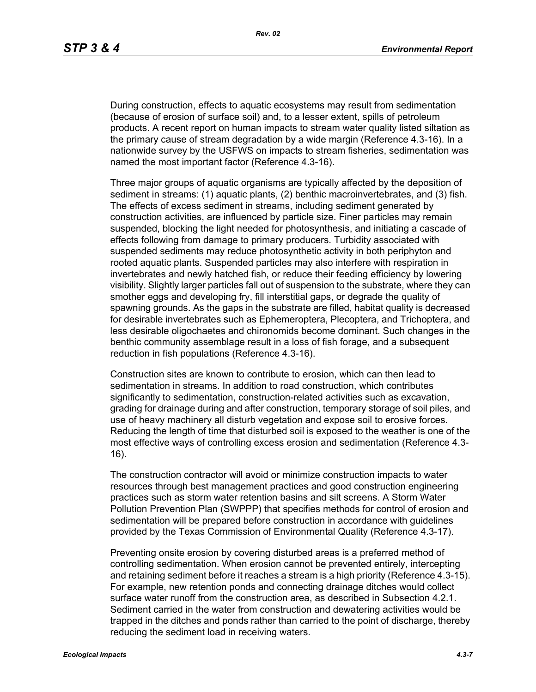During construction, effects to aquatic ecosystems may result from sedimentation (because of erosion of surface soil) and, to a lesser extent, spills of petroleum products. A recent report on human impacts to stream water quality listed siltation as the primary cause of stream degradation by a wide margin (Reference 4.3-16). In a nationwide survey by the USFWS on impacts to stream fisheries, sedimentation was named the most important factor (Reference 4.3-16).

Three major groups of aquatic organisms are typically affected by the deposition of sediment in streams: (1) aquatic plants, (2) benthic macroinvertebrates, and (3) fish. The effects of excess sediment in streams, including sediment generated by construction activities, are influenced by particle size. Finer particles may remain suspended, blocking the light needed for photosynthesis, and initiating a cascade of effects following from damage to primary producers. Turbidity associated with suspended sediments may reduce photosynthetic activity in both periphyton and rooted aquatic plants. Suspended particles may also interfere with respiration in invertebrates and newly hatched fish, or reduce their feeding efficiency by lowering visibility. Slightly larger particles fall out of suspension to the substrate, where they can smother eggs and developing fry, fill interstitial gaps, or degrade the quality of spawning grounds. As the gaps in the substrate are filled, habitat quality is decreased for desirable invertebrates such as Ephemeroptera, Plecoptera, and Trichoptera, and less desirable oligochaetes and chironomids become dominant. Such changes in the benthic community assemblage result in a loss of fish forage, and a subsequent reduction in fish populations (Reference 4.3-16).

Construction sites are known to contribute to erosion, which can then lead to sedimentation in streams. In addition to road construction, which contributes significantly to sedimentation, construction-related activities such as excavation, grading for drainage during and after construction, temporary storage of soil piles, and use of heavy machinery all disturb vegetation and expose soil to erosive forces. Reducing the length of time that disturbed soil is exposed to the weather is one of the most effective ways of controlling excess erosion and sedimentation (Reference 4.3- 16).

The construction contractor will avoid or minimize construction impacts to water resources through best management practices and good construction engineering practices such as storm water retention basins and silt screens. A Storm Water Pollution Prevention Plan (SWPPP) that specifies methods for control of erosion and sedimentation will be prepared before construction in accordance with guidelines provided by the Texas Commission of Environmental Quality (Reference 4.3-17).

Preventing onsite erosion by covering disturbed areas is a preferred method of controlling sedimentation. When erosion cannot be prevented entirely, intercepting and retaining sediment before it reaches a stream is a high priority (Reference 4.3-15). For example, new retention ponds and connecting drainage ditches would collect surface water runoff from the construction area, as described in Subsection 4.2.1. Sediment carried in the water from construction and dewatering activities would be trapped in the ditches and ponds rather than carried to the point of discharge, thereby reducing the sediment load in receiving waters.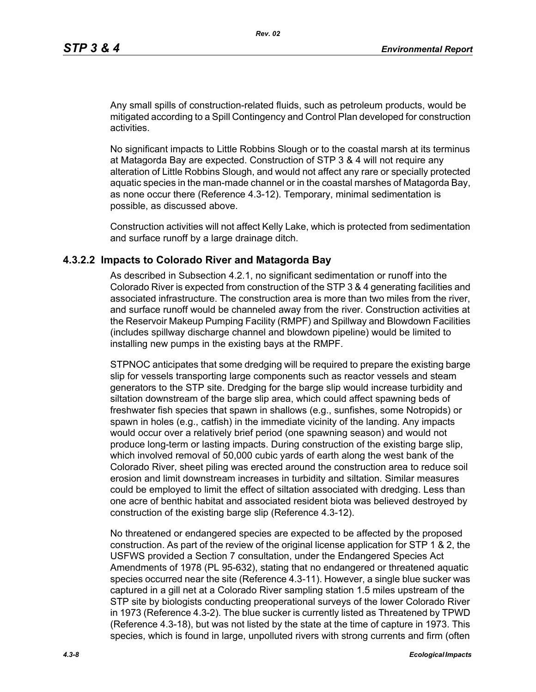Any small spills of construction-related fluids, such as petroleum products, would be mitigated according to a Spill Contingency and Control Plan developed for construction activities.

No significant impacts to Little Robbins Slough or to the coastal marsh at its terminus at Matagorda Bay are expected. Construction of STP 3 & 4 will not require any alteration of Little Robbins Slough, and would not affect any rare or specially protected aquatic species in the man-made channel or in the coastal marshes of Matagorda Bay, as none occur there (Reference 4.3-12). Temporary, minimal sedimentation is possible, as discussed above.

Construction activities will not affect Kelly Lake, which is protected from sedimentation and surface runoff by a large drainage ditch.

#### **4.3.2.2 Impacts to Colorado River and Matagorda Bay**

As described in Subsection 4.2.1, no significant sedimentation or runoff into the Colorado River is expected from construction of the STP 3 & 4 generating facilities and associated infrastructure. The construction area is more than two miles from the river, and surface runoff would be channeled away from the river. Construction activities at the Reservoir Makeup Pumping Facility (RMPF) and Spillway and Blowdown Facilities (includes spillway discharge channel and blowdown pipeline) would be limited to installing new pumps in the existing bays at the RMPF.

STPNOC anticipates that some dredging will be required to prepare the existing barge slip for vessels transporting large components such as reactor vessels and steam generators to the STP site. Dredging for the barge slip would increase turbidity and siltation downstream of the barge slip area, which could affect spawning beds of freshwater fish species that spawn in shallows (e.g., sunfishes, some Notropids) or spawn in holes (e.g., catfish) in the immediate vicinity of the landing. Any impacts would occur over a relatively brief period (one spawning season) and would not produce long-term or lasting impacts. During construction of the existing barge slip, which involved removal of 50,000 cubic yards of earth along the west bank of the Colorado River, sheet piling was erected around the construction area to reduce soil erosion and limit downstream increases in turbidity and siltation. Similar measures could be employed to limit the effect of siltation associated with dredging. Less than one acre of benthic habitat and associated resident biota was believed destroyed by construction of the existing barge slip (Reference 4.3-12).

No threatened or endangered species are expected to be affected by the proposed construction. As part of the review of the original license application for STP 1 & 2, the USFWS provided a Section 7 consultation, under the Endangered Species Act Amendments of 1978 (PL 95-632), stating that no endangered or threatened aquatic species occurred near the site (Reference 4.3-11). However, a single blue sucker was captured in a gill net at a Colorado River sampling station 1.5 miles upstream of the STP site by biologists conducting preoperational surveys of the lower Colorado River in 1973 (Reference 4.3-2). The blue sucker is currently listed as Threatened by TPWD (Reference 4.3-18), but was not listed by the state at the time of capture in 1973. This species, which is found in large, unpolluted rivers with strong currents and firm (often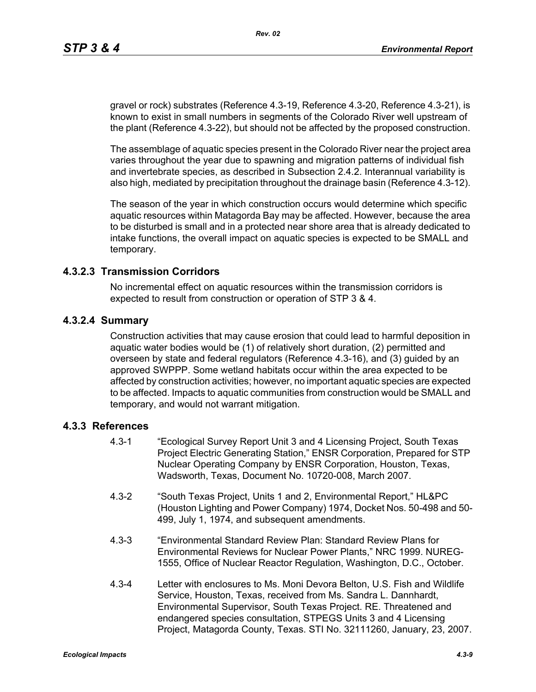gravel or rock) substrates (Reference 4.3-19, Reference 4.3-20, Reference 4.3-21), is known to exist in small numbers in segments of the Colorado River well upstream of the plant (Reference 4.3-22), but should not be affected by the proposed construction.

The assemblage of aquatic species present in the Colorado River near the project area varies throughout the year due to spawning and migration patterns of individual fish and invertebrate species, as described in Subsection 2.4.2. Interannual variability is also high, mediated by precipitation throughout the drainage basin (Reference 4.3-12).

The season of the year in which construction occurs would determine which specific aquatic resources within Matagorda Bay may be affected. However, because the area to be disturbed is small and in a protected near shore area that is already dedicated to intake functions, the overall impact on aquatic species is expected to be SMALL and temporary.

#### **4.3.2.3 Transmission Corridors**

No incremental effect on aquatic resources within the transmission corridors is expected to result from construction or operation of STP 3 & 4.

#### **4.3.2.4 Summary**

Construction activities that may cause erosion that could lead to harmful deposition in aquatic water bodies would be (1) of relatively short duration, (2) permitted and overseen by state and federal regulators (Reference 4.3-16), and (3) guided by an approved SWPPP. Some wetland habitats occur within the area expected to be affected by construction activities; however, no important aquatic species are expected to be affected. Impacts to aquatic communities from construction would be SMALL and temporary, and would not warrant mitigation.

#### **4.3.3 References**

- 4.3-1 "Ecological Survey Report Unit 3 and 4 Licensing Project, South Texas Project Electric Generating Station," ENSR Corporation, Prepared for STP Nuclear Operating Company by ENSR Corporation, Houston, Texas, Wadsworth, Texas, Document No. 10720-008, March 2007.
- 4.3-2 "South Texas Project, Units 1 and 2, Environmental Report," HL&PC (Houston Lighting and Power Company) 1974, Docket Nos. 50-498 and 50- 499, July 1, 1974, and subsequent amendments.
- 4.3-3 "Environmental Standard Review Plan: Standard Review Plans for Environmental Reviews for Nuclear Power Plants," NRC 1999. NUREG-1555, Office of Nuclear Reactor Regulation, Washington, D.C., October.
- 4.3-4 Letter with enclosures to Ms. Moni Devora Belton, U.S. Fish and Wildlife Service, Houston, Texas, received from Ms. Sandra L. Dannhardt, Environmental Supervisor, South Texas Project. RE. Threatened and endangered species consultation, STPEGS Units 3 and 4 Licensing Project, Matagorda County, Texas. STI No. 32111260, January, 23, 2007.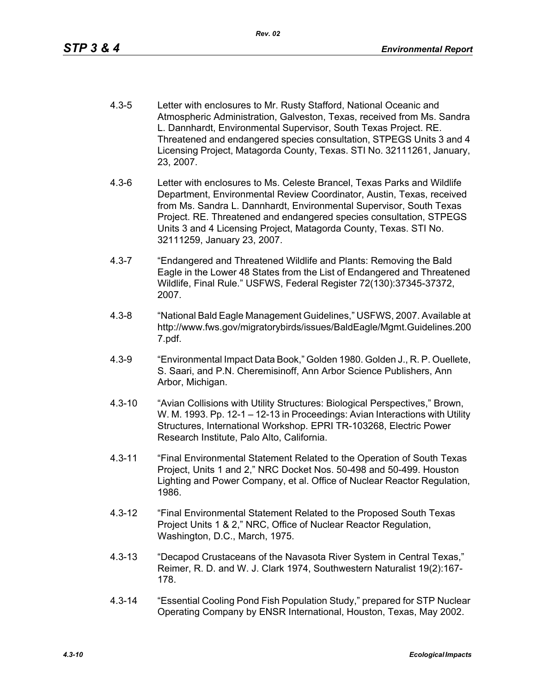- 4.3-5 Letter with enclosures to Mr. Rusty Stafford, National Oceanic and Atmospheric Administration, Galveston, Texas, received from Ms. Sandra L. Dannhardt, Environmental Supervisor, South Texas Project. RE. Threatened and endangered species consultation, STPEGS Units 3 and 4 Licensing Project, Matagorda County, Texas. STI No. 32111261, January, 23, 2007.
- 4.3-6 Letter with enclosures to Ms. Celeste Brancel, Texas Parks and Wildlife Department, Environmental Review Coordinator, Austin, Texas, received from Ms. Sandra L. Dannhardt, Environmental Supervisor, South Texas Project. RE. Threatened and endangered species consultation, STPEGS Units 3 and 4 Licensing Project, Matagorda County, Texas. STI No. 32111259, January 23, 2007.
- 4.3-7 "Endangered and Threatened Wildlife and Plants: Removing the Bald Eagle in the Lower 48 States from the List of Endangered and Threatened Wildlife, Final Rule." USFWS, Federal Register 72(130):37345-37372, 2007.
- 4.3-8 "National Bald Eagle Management Guidelines," USFWS, 2007. Available at http://www.fws.gov/migratorybirds/issues/BaldEagle/Mgmt.Guidelines.200 7.pdf.
- 4.3-9 "Environmental Impact Data Book," Golden 1980. Golden J., R. P. Ouellete, S. Saari, and P.N. Cheremisinoff, Ann Arbor Science Publishers, Ann Arbor, Michigan.
- 4.3-10 "Avian Collisions with Utility Structures: Biological Perspectives," Brown, W. M. 1993. Pp. 12-1 – 12-13 in Proceedings: Avian Interactions with Utility Structures, International Workshop. EPRI TR-103268, Electric Power Research Institute, Palo Alto, California.
- 4.3-11 "Final Environmental Statement Related to the Operation of South Texas Project, Units 1 and 2," NRC Docket Nos. 50-498 and 50-499. Houston Lighting and Power Company, et al. Office of Nuclear Reactor Regulation, 1986.
- 4.3-12 "Final Environmental Statement Related to the Proposed South Texas Project Units 1 & 2," NRC, Office of Nuclear Reactor Regulation, Washington, D.C., March, 1975.
- 4.3-13 "Decapod Crustaceans of the Navasota River System in Central Texas," Reimer, R. D. and W. J. Clark 1974, Southwestern Naturalist 19(2):167- 178.
- 4.3-14 "Essential Cooling Pond Fish Population Study," prepared for STP Nuclear Operating Company by ENSR International, Houston, Texas, May 2002.